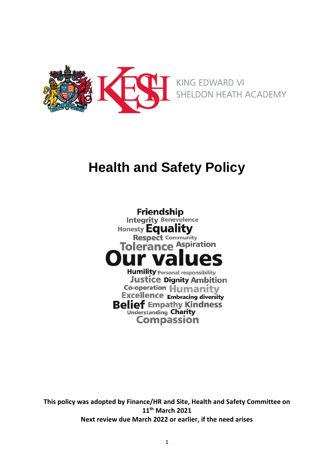

# **Health and Safety Policy**

**Friendship Integrity Benevolence** Honesty **Equality Respect Community** Tolerance Aspiration **Humility Personal responsibility Justice Dignity Ambition** Co-operation Humanity **Excellence Embracing diversity Belief Empathy Kindness Understanding Charity Compassion** 

**This policy was adopted by Finance/HR and Site, Health and Safety Committee on 11th March 2021 Next review due March 2022 or earlier, if the need arises**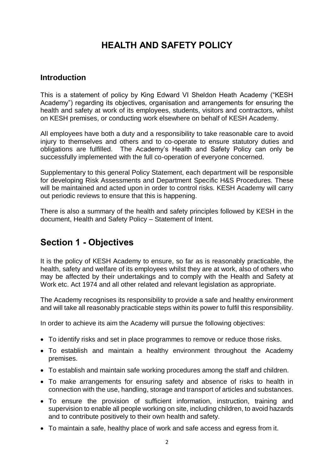## **HEALTH AND SAFETY POLICY**

#### **Introduction**

This is a statement of policy by King Edward VI Sheldon Heath Academy ("KESH Academy") regarding its objectives, organisation and arrangements for ensuring the health and safety at work of its employees, students, visitors and contractors, whilst on KESH premises, or conducting work elsewhere on behalf of KESH Academy.

All employees have both a duty and a responsibility to take reasonable care to avoid injury to themselves and others and to co-operate to ensure statutory duties and obligations are fulfilled. The Academy's Health and Safety Policy can only be successfully implemented with the full co-operation of everyone concerned.

Supplementary to this general Policy Statement, each department will be responsible for developing Risk Assessments and Department Specific H&S Procedures. These will be maintained and acted upon in order to control risks. KESH Academy will carry out periodic reviews to ensure that this is happening.

There is also a summary of the health and safety principles followed by KESH in the document, Health and Safety Policy – Statement of Intent.

### **Section 1 - Objectives**

It is the policy of KESH Academy to ensure, so far as is reasonably practicable, the health, safety and welfare of its employees whilst they are at work, also of others who may be affected by their undertakings and to comply with the Health and Safety at Work etc. Act 1974 and all other related and relevant legislation as appropriate.

The Academy recognises its responsibility to provide a safe and healthy environment and will take all reasonably practicable steps within its power to fulfil this responsibility.

In order to achieve its aim the Academy will pursue the following objectives:

- To identify risks and set in place programmes to remove or reduce those risks.
- To establish and maintain a healthy environment throughout the Academy premises.
- To establish and maintain safe working procedures among the staff and children.
- To make arrangements for ensuring safety and absence of risks to health in connection with the use, handling, storage and transport of articles and substances.
- To ensure the provision of sufficient information, instruction, training and supervision to enable all people working on site, including children, to avoid hazards and to contribute positively to their own health and safety.
- To maintain a safe, healthy place of work and safe access and egress from it.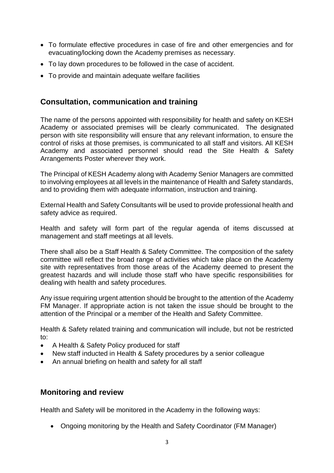- To formulate effective procedures in case of fire and other emergencies and for evacuating/locking down the Academy premises as necessary.
- To lay down procedures to be followed in the case of accident.
- To provide and maintain adequate welfare facilities

### **Consultation, communication and training**

The name of the persons appointed with responsibility for health and safety on KESH Academy or associated premises will be clearly communicated. The designated person with site responsibility will ensure that any relevant information, to ensure the control of risks at those premises, is communicated to all staff and visitors. All KESH Academy and associated personnel should read the Site Health & Safety Arrangements Poster wherever they work.

The Principal of KESH Academy along with Academy Senior Managers are committed to involving employees at all levels in the maintenance of Health and Safety standards, and to providing them with adequate information, instruction and training.

External Health and Safety Consultants will be used to provide professional health and safety advice as required.

Health and safety will form part of the regular agenda of items discussed at management and staff meetings at all levels.

There shall also be a Staff Health & Safety Committee. The composition of the safety committee will reflect the broad range of activities which take place on the Academy site with representatives from those areas of the Academy deemed to present the greatest hazards and will include those staff who have specific responsibilities for dealing with health and safety procedures.

Any issue requiring urgent attention should be brought to the attention of the Academy FM Manager. If appropriate action is not taken the issue should be brought to the attention of the Principal or a member of the Health and Safety Committee.

Health & Safety related training and communication will include, but not be restricted to:

- A Health & Safety Policy produced for staff
- New staff inducted in Health & Safety procedures by a senior colleague
- An annual briefing on health and safety for all staff

### **Monitoring and review**

Health and Safety will be monitored in the Academy in the following ways:

• Ongoing monitoring by the Health and Safety Coordinator (FM Manager)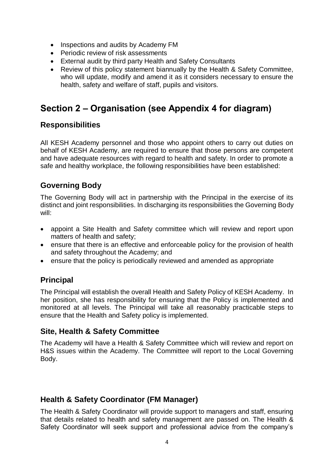- Inspections and audits by Academy FM
- Periodic review of risk assessments
- External audit by third party Health and Safety Consultants
- Review of this policy statement biannually by the Health & Safety Committee, who will update, modify and amend it as it considers necessary to ensure the health, safety and welfare of staff, pupils and visitors.

## **Section 2 – Organisation (see Appendix 4 for diagram)**

### **Responsibilities**

All KESH Academy personnel and those who appoint others to carry out duties on behalf of KESH Academy, are required to ensure that those persons are competent and have adequate resources with regard to health and safety. In order to promote a safe and healthy workplace, the following responsibilities have been established:

### **Governing Body**

The Governing Body will act in partnership with the Principal in the exercise of its distinct and joint responsibilities. In discharging its responsibilities the Governing Body will:

- appoint a Site Health and Safety committee which will review and report upon matters of health and safety;
- ensure that there is an effective and enforceable policy for the provision of health and safety throughout the Academy; and
- ensure that the policy is periodically reviewed and amended as appropriate

### **Principal**

The Principal will establish the overall Health and Safety Policy of KESH Academy. In her position, she has responsibility for ensuring that the Policy is implemented and monitored at all levels. The Principal will take all reasonably practicable steps to ensure that the Health and Safety policy is implemented.

### **Site, Health & Safety Committee**

The Academy will have a Health & Safety Committee which will review and report on H&S issues within the Academy. The Committee will report to the Local Governing Body.

### **Health & Safety Coordinator (FM Manager)**

The Health & Safety Coordinator will provide support to managers and staff, ensuring that details related to health and safety management are passed on. The Health & Safety Coordinator will seek support and professional advice from the company's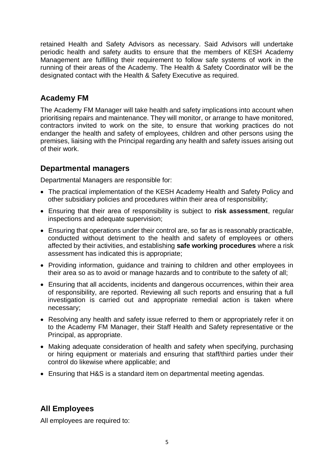retained Health and Safety Advisors as necessary. Said Advisors will undertake periodic health and safety audits to ensure that the members of KESH Academy Management are fulfilling their requirement to follow safe systems of work in the running of their areas of the Academy. The Health & Safety Coordinator will be the designated contact with the Health & Safety Executive as required.

### **Academy FM**

The Academy FM Manager will take health and safety implications into account when prioritising repairs and maintenance. They will monitor, or arrange to have monitored, contractors invited to work on the site, to ensure that working practices do not endanger the health and safety of employees, children and other persons using the premises, liaising with the Principal regarding any health and safety issues arising out of their work.

### **Departmental managers**

Departmental Managers are responsible for:

- The practical implementation of the KESH Academy Health and Safety Policy and other subsidiary policies and procedures within their area of responsibility;
- Ensuring that their area of responsibility is subject to **risk assessment**, regular inspections and adequate supervision;
- Ensuring that operations under their control are, so far as is reasonably practicable, conducted without detriment to the health and safety of employees or others affected by their activities, and establishing **safe working procedures** where a risk assessment has indicated this is appropriate;
- Providing information, guidance and training to children and other employees in their area so as to avoid or manage hazards and to contribute to the safety of all;
- Ensuring that all accidents, incidents and dangerous occurrences, within their area of responsibility, are reported. Reviewing all such reports and ensuring that a full investigation is carried out and appropriate remedial action is taken where necessary;
- Resolving any health and safety issue referred to them or appropriately refer it on to the Academy FM Manager, their Staff Health and Safety representative or the Principal, as appropriate.
- Making adequate consideration of health and safety when specifying, purchasing or hiring equipment or materials and ensuring that staff/third parties under their control do likewise where applicable; and
- Ensuring that H&S is a standard item on departmental meeting agendas.

### **All Employees**

All employees are required to: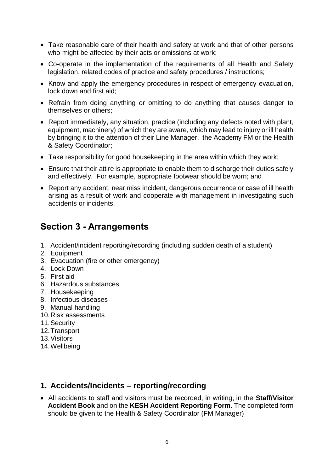- Take reasonable care of their health and safety at work and that of other persons who might be affected by their acts or omissions at work;
- Co-operate in the implementation of the requirements of all Health and Safety legislation, related codes of practice and safety procedures / instructions;
- Know and apply the emergency procedures in respect of emergency evacuation, lock down and first aid;
- Refrain from doing anything or omitting to do anything that causes danger to themselves or others;
- Report immediately, any situation, practice (including any defects noted with plant, equipment, machinery) of which they are aware, which may lead to injury or ill health by bringing it to the attention of their Line Manager, the Academy FM or the Health & Safety Coordinator;
- Take responsibility for good housekeeping in the area within which they work;
- Ensure that their attire is appropriate to enable them to discharge their duties safely and effectively. For example, appropriate footwear should be worn; and
- Report any accident, near miss incident, dangerous occurrence or case of ill health arising as a result of work and cooperate with management in investigating such accidents or incidents.

## **Section 3 - Arrangements**

- 1. Accident/incident reporting/recording (including sudden death of a student)
- 2. Equipment
- 3. Evacuation (fire or other emergency)
- 4. Lock Down
- 5. First aid
- 6. Hazardous substances
- 7. Housekeeping
- 8. Infectious diseases
- 9. Manual handling
- 10.Risk assessments
- 11.Security
- 12.Transport
- 13.Visitors
- 14.Wellbeing

### **1. Accidents/Incidents – reporting/recording**

 All accidents to staff and visitors must be recorded, in writing, in the **Staff/Visitor Accident Book** and on the **KESH Accident Reporting Form**. The completed form should be given to the Health & Safety Coordinator (FM Manager)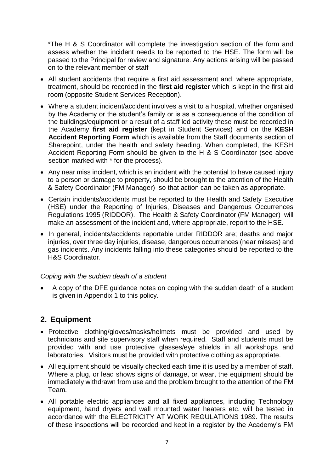\*The H & S Coordinator will complete the investigation section of the form and assess whether the incident needs to be reported to the HSE. The form will be passed to the Principal for review and signature. Any actions arising will be passed on to the relevant member of staff

- All student accidents that require a first aid assessment and, where appropriate, treatment, should be recorded in the **first aid register** which is kept in the first aid room (opposite Student Services Reception).
- Where a student incident/accident involves a visit to a hospital, whether organised by the Academy or the student's family or is as a consequence of the condition of the buildings/equipment or a result of a staff led activity these must be recorded in the Academy **first aid register** (kept in Student Services) and on the **KESH Accident Reporting Form** which is available from the Staff documents section of Sharepoint, under the health and safety heading. When completed, the KESH Accident Reporting Form should be given to the H & S Coordinator (see above section marked with \* for the process).
- Any near miss incident, which is an incident with the potential to have caused injury to a person or damage to property, should be brought to the attention of the Health & Safety Coordinator (FM Manager) so that action can be taken as appropriate.
- Certain incidents/accidents must be reported to the Health and Safety Executive (HSE) under the Reporting of Injuries, Diseases and Dangerous Occurrences Regulations 1995 (RIDDOR). The Health & Safety Coordinator (FM Manager) will make an assessment of the incident and, where appropriate, report to the HSE.
- In general, incidents/accidents reportable under RIDDOR are; deaths and major injuries, over three day injuries, disease, dangerous occurrences (near misses) and gas incidents. Any incidents falling into these categories should be reported to the H&S Coordinator.

#### *Coping with the sudden death of a student*

 A copy of the DFE guidance notes on coping with the sudden death of a student is given in Appendix 1 to this policy.

### **2. Equipment**

- Protective clothing/gloves/masks/helmets must be provided and used by technicians and site supervisory staff when required. Staff and students must be provided with and use protective glasses/eye shields in all workshops and laboratories. Visitors must be provided with protective clothing as appropriate.
- All equipment should be visually checked each time it is used by a member of staff. Where a plug, or lead shows signs of damage, or wear, the equipment should be immediately withdrawn from use and the problem brought to the attention of the FM Team.
- All portable electric appliances and all fixed appliances, including Technology equipment, hand dryers and wall mounted water heaters etc. will be tested in accordance with the ELECTRICITY AT WORK REGULATIONS 1989. The results of these inspections will be recorded and kept in a register by the Academy's FM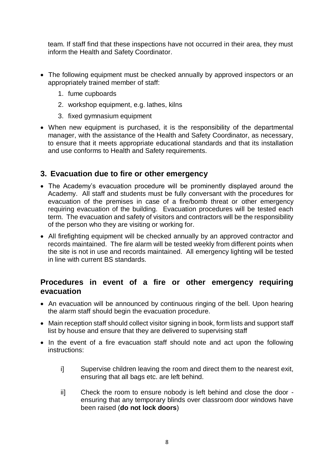team. If staff find that these inspections have not occurred in their area, they must inform the Health and Safety Coordinator.

- The following equipment must be checked annually by approved inspectors or an appropriately trained member of staff:
	- 1. fume cupboards
	- 2. workshop equipment, e.g. lathes, kilns
	- 3. fixed gymnasium equipment
- When new equipment is purchased, it is the responsibility of the departmental manager, with the assistance of the Health and Safety Coordinator, as necessary, to ensure that it meets appropriate educational standards and that its installation and use conforms to Health and Safety requirements.

### **3. Evacuation due to fire or other emergency**

- The Academy's evacuation procedure will be prominently displayed around the Academy. All staff and students must be fully conversant with the procedures for evacuation of the premises in case of a fire/bomb threat or other emergency requiring evacuation of the building. Evacuation procedures will be tested each term. The evacuation and safety of visitors and contractors will be the responsibility of the person who they are visiting or working for.
- All firefighting equipment will be checked annually by an approved contractor and records maintained. The fire alarm will be tested weekly from different points when the site is not in use and records maintained. All emergency lighting will be tested in line with current BS standards.

### **Procedures in event of a fire or other emergency requiring evacuation**

- An evacuation will be announced by continuous ringing of the bell. Upon hearing the alarm staff should begin the evacuation procedure.
- Main reception staff should collect visitor signing in book, form lists and support staff list by house and ensure that they are delivered to supervising staff
- In the event of a fire evacuation staff should note and act upon the following instructions:
	- i] Supervise children leaving the room and direct them to the nearest exit, ensuring that all bags etc. are left behind.
	- ii] Check the room to ensure nobody is left behind and close the door ensuring that any temporary blinds over classroom door windows have been raised (**do not lock doors**)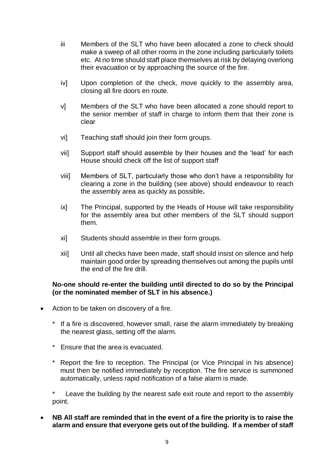- iii Members of the SLT who have been allocated a zone to check should make a sweep of all other rooms in the zone including particularly toilets etc. At no time should staff place themselves at risk by delaying overlong their evacuation or by approaching the source of the fire.
- iv] Upon completion of the check, move quickly to the assembly area, closing all fire doors en route.
- v] Members of the SLT who have been allocated a zone should report to the senior member of staff in charge to inform them that their zone is clear
- vi] Teaching staff should join their form groups.
- vii] Support staff should assemble by their houses and the 'lead' for each House should check off the list of support staff
- viii] Members of SLT, particularly those who don't have a responsibility for clearing a zone in the building (see above) should endeavour to reach the assembly area as quickly as possible**.**
- ix] The Principal, supported by the Heads of House will take responsibility for the assembly area but other members of the SLT should support them.
- xi] Students should assemble in their form groups.
- xii] Until all checks have been made, staff should insist on silence and help maintain good order by spreading themselves out among the pupils until the end of the fire drill.

#### **No-one should re-enter the building until directed to do so by the Principal (or the nominated member of SLT in his absence.)**

- Action to be taken on discovery of a fire.
	- \* If a fire is discovered, however small, raise the alarm immediately by breaking the nearest glass, setting off the alarm.
	- \* Ensure that the area is evacuated.
	- Report the fire to reception. The Principal (or Vice Principal in his absence) must then be notified immediately by reception. The fire service is summoned automatically, unless rapid notification of a false alarm is made.

Leave the building by the nearest safe exit route and report to the assembly point.

 **NB All staff are reminded that in the event of a fire the priority is to raise the alarm and ensure that everyone gets out of the building. If a member of staff**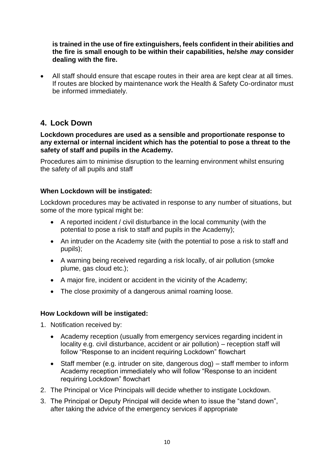**is trained in the use of fire extinguishers, feels confident in their abilities and the fire is small enough to be within their capabilities, he/she** *may* **consider dealing with the fire.**

 All staff should ensure that escape routes in their area are kept clear at all times. If routes are blocked by maintenance work the Health & Safety Co-ordinator must be informed immediately.

### **4. Lock Down**

#### **Lockdown procedures are used as a sensible and proportionate response to any external or internal incident which has the potential to pose a threat to the safety of staff and pupils in the Academy.**

Procedures aim to minimise disruption to the learning environment whilst ensuring the safety of all pupils and staff

#### **When Lockdown will be instigated:**

Lockdown procedures may be activated in response to any number of situations, but some of the more typical might be:

- A reported incident / civil disturbance in the local community (with the potential to pose a risk to staff and pupils in the Academy);
- An intruder on the Academy site (with the potential to pose a risk to staff and pupils);
- A warning being received regarding a risk locally, of air pollution (smoke plume, gas cloud etc.);
- A major fire, incident or accident in the vicinity of the Academy;
- The close proximity of a dangerous animal roaming loose.

#### **How Lockdown will be instigated:**

- 1. Notification received by:
	- Academy reception (usually from emergency services regarding incident in locality e.g. civil disturbance, accident or air pollution) – reception staff will follow "Response to an incident requiring Lockdown" flowchart
	- Staff member (e.g. intruder on site, dangerous dog) staff member to inform Academy reception immediately who will follow "Response to an incident requiring Lockdown" flowchart
- 2. The Principal or Vice Principals will decide whether to instigate Lockdown.
- 3. The Principal or Deputy Principal will decide when to issue the "stand down", after taking the advice of the emergency services if appropriate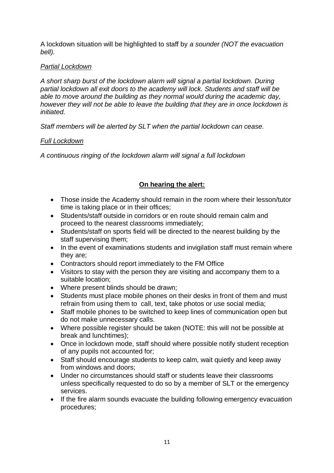A lockdown situation will be highlighted to staff by *a sounder (NOT the evacuation bell).* 

#### *Partial Lockdown*

*A short sharp burst of the lockdown alarm will signal a partial lockdown. During partial lockdown all exit doors to the academy will lock. Students and staff will be able to move around the building as they normal would during the academic day, however they will not be able to leave the building that they are in once lockdown is initiated.*

*Staff members will be alerted by SLT when the partial lockdown can cease.*

#### *Full Lockdown*

*A continuous ringing of the lockdown alarm will signal a full lockdown* 

#### **On hearing the alert:**

- Those inside the Academy should remain in the room where their lesson/tutor time is taking place or in their offices;
- Students/staff outside in corridors or en route should remain calm and proceed to the nearest classrooms immediately;
- Students/staff on sports field will be directed to the nearest building by the staff supervising them;
- In the event of examinations students and invigilation staff must remain where they are;
- Contractors should report immediately to the FM Office
- Visitors to stay with the person they are visiting and accompany them to a suitable location;
- Where present blinds should be drawn:
- Students must place mobile phones on their desks in front of them and must refrain from using them to call, text, take photos or use social media;
- Staff mobile phones to be switched to keep lines of communication open but do not make unnecessary calls.
- Where possible register should be taken (NOTE: this will not be possible at break and lunchtimes);
- Once in lockdown mode, staff should where possible notify student reception of any pupils not accounted for;
- Staff should encourage students to keep calm, wait quietly and keep away from windows and doors;
- Under no circumstances should staff or students leave their classrooms unless specifically requested to do so by a member of SLT or the emergency services.
- If the fire alarm sounds evacuate the building following emergency evacuation procedures;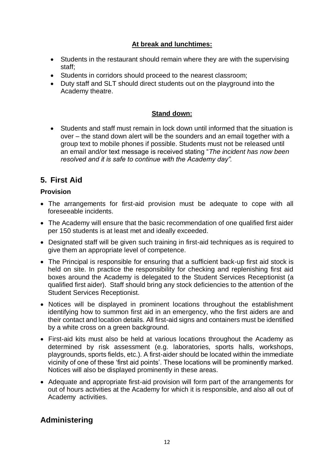#### **At break and lunchtimes:**

- Students in the restaurant should remain where they are with the supervising staff;
- Students in corridors should proceed to the nearest classroom;
- Duty staff and SLT should direct students out on the playground into the Academy theatre.

#### **Stand down:**

 Students and staff must remain in lock down until informed that the situation is over – the stand down alert will be the sounders and an email together with a group text to mobile phones if possible. Students must not be released until an email and/or text message is received stating "*The incident has now been resolved and it is safe to continue with the Academy day".*

### **5. First Aid**

#### **Provision**

- The arrangements for first-aid provision must be adequate to cope with all foreseeable incidents.
- The Academy will ensure that the basic recommendation of one qualified first aider per 150 students is at least met and ideally exceeded.
- Designated staff will be given such training in first-aid techniques as is required to give them an appropriate level of competence.
- The Principal is responsible for ensuring that a sufficient back-up first aid stock is held on site. In practice the responsibility for checking and replenishing first aid boxes around the Academy is delegated to the Student Services Receptionist (a qualified first aider). Staff should bring any stock deficiencies to the attention of the Student Services Receptionist.
- Notices will be displayed in prominent locations throughout the establishment identifying how to summon first aid in an emergency, who the first aiders are and their contact and location details. All first-aid signs and containers must be identified by a white cross on a green background.
- First-aid kits must also be held at various locations throughout the Academy as determined by risk assessment (e.g. laboratories, sports halls, workshops, playgrounds, sports fields, etc.). A first-aider should be located within the immediate vicinity of one of these 'first aid points'. These locations will be prominently marked. Notices will also be displayed prominently in these areas.
- Adequate and appropriate first-aid provision will form part of the arrangements for out of hours activities at the Academy for which it is responsible, and also all out of Academy activities.

### **Administering**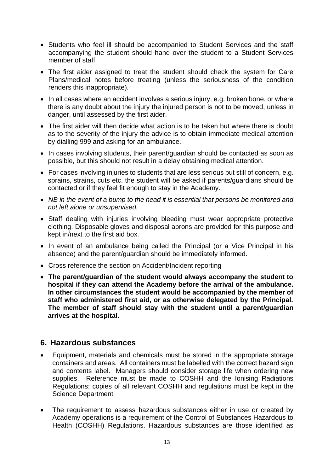- Students who feel ill should be accompanied to Student Services and the staff accompanying the student should hand over the student to a Student Services member of staff.
- The first aider assigned to treat the student should check the system for Care Plans/medical notes before treating (unless the seriousness of the condition renders this inappropriate).
- In all cases where an accident involves a serious injury, e.g. broken bone, or where there is any doubt about the injury the injured person is not to be moved, unless in danger, until assessed by the first aider.
- The first aider will then decide what action is to be taken but where there is doubt as to the severity of the injury the advice is to obtain immediate medical attention by dialling 999 and asking for an ambulance.
- In cases involving students, their parent/guardian should be contacted as soon as possible, but this should not result in a delay obtaining medical attention.
- For cases involving injuries to students that are less serious but still of concern, e.g. sprains, strains, cuts etc. the student will be asked if parents/guardians should be contacted or if they feel fit enough to stay in the Academy.
- *NB in the event of a bump to the head it is essential that persons be monitored and not left alone or unsupervised.*
- Staff dealing with injuries involving bleeding must wear appropriate protective clothing. Disposable gloves and disposal aprons are provided for this purpose and kept in/next to the first aid box.
- In event of an ambulance being called the Principal (or a Vice Principal in his absence) and the parent/guardian should be immediately informed.
- Cross reference the section on Accident/Incident reporting
- **The parent/guardian of the student would always accompany the student to hospital if they can attend the Academy before the arrival of the ambulance. In other circumstances the student would be accompanied by the member of staff who administered first aid, or as otherwise delegated by the Principal. The member of staff should stay with the student until a parent/guardian arrives at the hospital.**

#### **6. Hazardous substances**

- Equipment, materials and chemicals must be stored in the appropriate storage containers and areas. All containers must be labelled with the correct hazard sign and contents label. Managers should consider storage life when ordering new supplies. Reference must be made to COSHH and the Ionising Radiations Regulations; copies of all relevant COSHH and regulations must be kept in the Science Department
- The requirement to assess hazardous substances either in use or created by Academy operations is a requirement of the Control of Substances Hazardous to Health (COSHH) Regulations. Hazardous substances are those identified as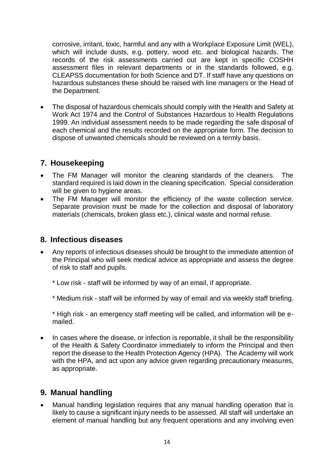corrosive, irritant, toxic, harmful and any with a Workplace Exposure Limit (WEL), which will include dusts, e.g. pottery, wood etc. and biological hazards. The records of the risk assessments carried out are kept in specific COSHH assessment files in relevant departments or in the standards followed, e.g. CLEAPSS documentation for both Science and DT. If staff have any questions on hazardous substances these should be raised with line managers or the Head of the Department.

 The disposal of hazardous chemicals should comply with the Health and Safety at Work Act 1974 and the Control of Substances Hazardous to Health Regulations 1999. An individual assessment needs to be made regarding the safe disposal of each chemical and the results recorded on the appropriate form. The decision to dispose of unwanted chemicals should be reviewed on a termly basis.

### **7. Housekeeping**

- The FM Manager will monitor the cleaning standards of the cleaners. The standard required is laid down in the cleaning specification. Special consideration will be given to hygiene areas.
- The FM Manager will monitor the efficiency of the waste collection service. Separate provision must be made for the collection and disposal of laboratory materials (chemicals, broken glass etc.), clinical waste and normal refuse.

### **8. Infectious diseases**

- Any reports of infectious diseases should be brought to the immediate attention of the Principal who will seek medical advice as appropriate and assess the degree of risk to staff and pupils.
	- \* Low risk staff will be informed by way of an email, if appropriate.
	- \* Medium risk staff will be informed by way of email and via weekly staff briefing.

\* High risk - an emergency staff meeting will be called, and information will be emailed.

• In cases where the disease, or infection is reportable, it shall be the responsibility of the Health & Safety Coordinator immediately to inform the Principal and then report the disease to the Health Protection Agency (HPA). The Academy will work with the HPA, and act upon any advice given regarding precautionary measures, as appropriate.

### **9. Manual handling**

 Manual handling legislation requires that any manual handling operation that is likely to cause a significant injury needs to be assessed. All staff will undertake an element of manual handling but any frequent operations and any involving even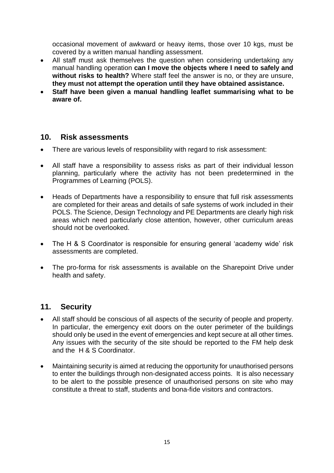occasional movement of awkward or heavy items, those over 10 kgs, must be covered by a written manual handling assessment.

- All staff must ask themselves the question when considering undertaking any manual handling operation **can I move the objects where I need to safely and without risks to health?** Where staff feel the answer is no, or they are unsure, **they must not attempt the operation until they have obtained assistance.**
- **Staff have been given a manual handling leaflet summarising what to be aware of.**

### **10. Risk assessments**

- There are various levels of responsibility with regard to risk assessment:
- All staff have a responsibility to assess risks as part of their individual lesson planning, particularly where the activity has not been predetermined in the Programmes of Learning (POLS).
- Heads of Departments have a responsibility to ensure that full risk assessments are completed for their areas and details of safe systems of work included in their POLS. The Science, Design Technology and PE Departments are clearly high risk areas which need particularly close attention, however, other curriculum areas should not be overlooked.
- The H & S Coordinator is responsible for ensuring general 'academy wide' risk assessments are completed.
- The pro-forma for risk assessments is available on the Sharepoint Drive under health and safety.

### **11. Security**

- All staff should be conscious of all aspects of the security of people and property. In particular, the emergency exit doors on the outer perimeter of the buildings should only be used in the event of emergencies and kept secure at all other times. Any issues with the security of the site should be reported to the FM help desk and the H & S Coordinator.
- Maintaining security is aimed at reducing the opportunity for unauthorised persons to enter the buildings through non-designated access points. It is also necessary to be alert to the possible presence of unauthorised persons on site who may constitute a threat to staff, students and bona-fide visitors and contractors.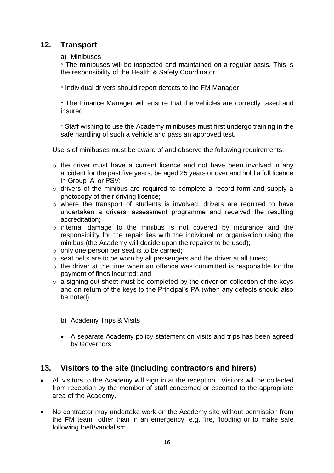### **12. Transport**

#### a) Minibuses

\* The minibuses will be inspected and maintained on a regular basis. This is the responsibility of the Health & Safety Coordinator.

\* Individual drivers should report defects to the FM Manager

\* The Finance Manager will ensure that the vehicles are correctly taxed and insured

\* Staff wishing to use the Academy minibuses must first undergo training in the safe handling of such a vehicle and pass an approved test.

Users of minibuses must be aware of and observe the following requirements:

- o the driver must have a current licence and not have been involved in any accident for the past five years, be aged 25 years or over and hold a full licence in Group 'A' or PSV;
- o drivers of the minibus are required to complete a record form and supply a photocopy of their driving licence;
- o where the transport of students is involved, drivers are required to have undertaken a drivers' assessment programme and received the resulting accreditation;
- o internal damage to the minibus is not covered by insurance and the responsibility for the repair lies with the individual or organisation using the minibus (the Academy will decide upon the repairer to be used);
- $\circ$  only one person per seat is to be carried;
- o seat belts are to be worn by all passengers and the driver at all times;
- o the driver at the time when an offence was committed is responsible for the payment of fines incurred; and
- $\circ$  a signing out sheet must be completed by the driver on collection of the keys and on return of the keys to the Principal's PA (when any defects should also be noted).
	- b) Academy Trips & Visits
	- A separate Academy policy statement on visits and trips has been agreed by Governors

### **13. Visitors to the site (including contractors and hirers)**

- All visitors to the Academy will sign in at the reception. Visitors will be collected from reception by the member of staff concerned or escorted to the appropriate area of the Academy.
- No contractor may undertake work on the Academy site without permission from the FM team other than in an emergency, e.g. fire, flooding or to make safe following theft/vandalism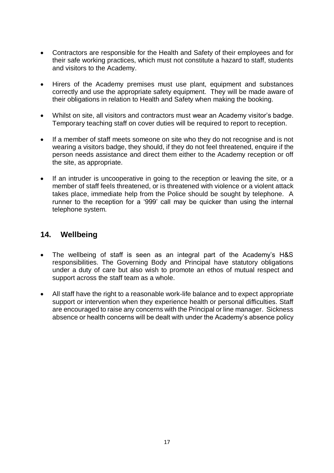- Contractors are responsible for the Health and Safety of their employees and for their safe working practices, which must not constitute a hazard to staff, students and visitors to the Academy.
- Hirers of the Academy premises must use plant, equipment and substances correctly and use the appropriate safety equipment. They will be made aware of their obligations in relation to Health and Safety when making the booking.
- Whilst on site, all visitors and contractors must wear an Academy visitor's badge. Temporary teaching staff on cover duties will be required to report to reception.
- If a member of staff meets someone on site who they do not recognise and is not wearing a visitors badge, they should, if they do not feel threatened, enquire if the person needs assistance and direct them either to the Academy reception or off the site, as appropriate.
- If an intruder is uncooperative in going to the reception or leaving the site, or a member of staff feels threatened, or is threatened with violence or a violent attack takes place, immediate help from the Police should be sought by telephone. A runner to the reception for a '999' call may be quicker than using the internal telephone system.

### **14. Wellbeing**

- The wellbeing of staff is seen as an integral part of the Academy's H&S responsibilities. The Governing Body and Principal have statutory obligations under a duty of care but also wish to promote an ethos of mutual respect and support across the staff team as a whole.
- All staff have the right to a reasonable work-life balance and to expect appropriate support or intervention when they experience health or personal difficulties. Staff are encouraged to raise any concerns with the Principal or line manager. Sickness absence or health concerns will be dealt with under the Academy's absence policy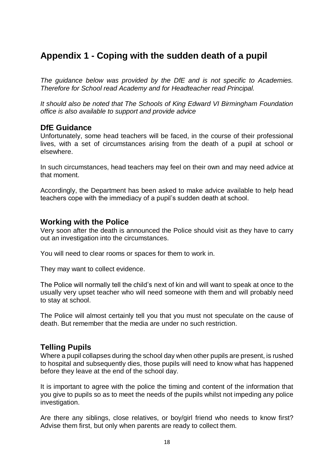## **Appendix 1 - Coping with the sudden death of a pupil**

*The guidance below was provided by the DfE and is not specific to Academies. Therefore for School read Academy and for Headteacher read Principal.* 

*It should also be noted that The Schools of King Edward VI Birmingham Foundation office is also available to support and provide advice*

#### **DfE Guidance**

Unfortunately, some head teachers will be faced, in the course of their professional lives, with a set of circumstances arising from the death of a pupil at school or elsewhere.

In such circumstances, head teachers may feel on their own and may need advice at that moment.

Accordingly, the Department has been asked to make advice available to help head teachers cope with the immediacy of a pupil's sudden death at school.

#### **Working with the Police**

Very soon after the death is announced the Police should visit as they have to carry out an investigation into the circumstances.

You will need to clear rooms or spaces for them to work in.

They may want to collect evidence.

The Police will normally tell the child's next of kin and will want to speak at once to the usually very upset teacher who will need someone with them and will probably need to stay at school.

The Police will almost certainly tell you that you must not speculate on the cause of death. But remember that the media are under no such restriction.

### **Telling Pupils**

Where a pupil collapses during the school day when other pupils are present, is rushed to hospital and subsequently dies, those pupils will need to know what has happened before they leave at the end of the school day.

It is important to agree with the police the timing and content of the information that you give to pupils so as to meet the needs of the pupils whilst not impeding any police investigation.

Are there any siblings, close relatives, or boy/girl friend who needs to know first? Advise them first, but only when parents are ready to collect them.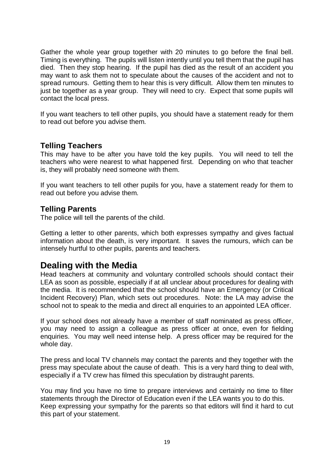Gather the whole year group together with 20 minutes to go before the final bell. Timing is everything. The pupils will listen intently until you tell them that the pupil has died. Then they stop hearing. If the pupil has died as the result of an accident you may want to ask them not to speculate about the causes of the accident and not to spread rumours. Getting them to hear this is very difficult. Allow them ten minutes to just be together as a year group. They will need to cry. Expect that some pupils will contact the local press.

If you want teachers to tell other pupils, you should have a statement ready for them to read out before you advise them.

### **Telling Teachers**

This may have to be after you have told the key pupils. You will need to tell the teachers who were nearest to what happened first. Depending on who that teacher is, they will probably need someone with them.

If you want teachers to tell other pupils for you, have a statement ready for them to read out before you advise them.

#### **Telling Parents**

The police will tell the parents of the child.

Getting a letter to other parents, which both expresses sympathy and gives factual information about the death, is very important. It saves the rumours, which can be intensely hurtful to other pupils, parents and teachers.

### **Dealing with the Media**

Head teachers at community and voluntary controlled schools should contact their LEA as soon as possible, especially if at all unclear about procedures for dealing with the media. It is recommended that the school should have an Emergency (or Critical Incident Recovery) Plan, which sets out procedures. Note: the LA may advise the school not to speak to the media and direct all enquiries to an appointed LEA officer.

If your school does not already have a member of staff nominated as press officer, you may need to assign a colleague as press officer at once, even for fielding enquiries. You may well need intense help. A press officer may be required for the whole day.

The press and local TV channels may contact the parents and they together with the press may speculate about the cause of death. This is a very hard thing to deal with, especially if a TV crew has filmed this speculation by distraught parents.

You may find you have no time to prepare interviews and certainly no time to filter statements through the Director of Education even if the LEA wants you to do this. Keep expressing your sympathy for the parents so that editors will find it hard to cut this part of your statement.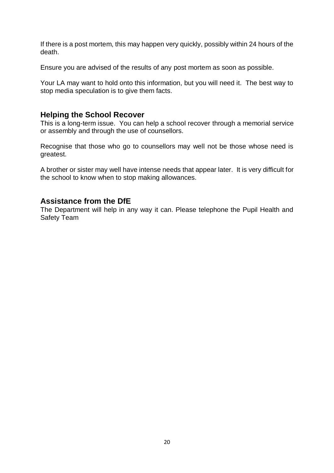If there is a post mortem, this may happen very quickly, possibly within 24 hours of the death.

Ensure you are advised of the results of any post mortem as soon as possible.

Your LA may want to hold onto this information, but you will need it. The best way to stop media speculation is to give them facts.

#### **Helping the School Recover**

This is a long-term issue. You can help a school recover through a memorial service or assembly and through the use of counsellors.

Recognise that those who go to counsellors may well not be those whose need is greatest.

A brother or sister may well have intense needs that appear later. It is very difficult for the school to know when to stop making allowances.

### **Assistance from the DfE**

The Department will help in any way it can. Please telephone the Pupil Health and Safety Team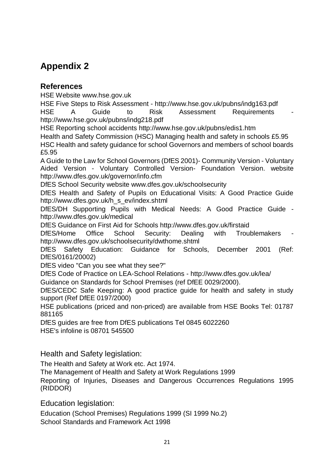## **Appendix 2**

### **References**

HSE Website www.hse.gov.uk

HSE Five Steps to Risk Assessment - http://www.hse.gov.uk/pubns/indg163.pdf HSE A Guide to Risk Assessment Requirements http://www.hse.gov.uk/pubns/indg218.pdf

HSE Reporting school accidents http://www.hse.gov.uk/pubns/edis1.htm Health and Safety Commission (HSC) Managing health and safety in schools £5.95 HSC Health and safety guidance for school Governors and members of school boards £5.95

A Guide to the Law for School Governors (DfES 2001)- Community Version - Voluntary Aided Version - Voluntary Controlled Version- Foundation Version. website http://www.dfes.gov.uk/governor/info.cfm

DfES School Security website www.dfes.gov.uk/schoolsecurity

DfES Health and Safety of Pupils on Educational Visits: A Good Practice Guide http://www.dfes.gov.uk/h\_s\_ev/index.shtml

DfES/DH Supporting Pupils with Medical Needs: A Good Practice Guide http://www.dfes.gov.uk/medical

DfES Guidance on First Aid for Schools http://www.dfes.gov.uk/firstaid

DfES/Home Office School Security: Dealing with Troublemakers http://www.dfes.gov.uk/schoolsecurity/dwthome.shtml

DfES Safety Education: Guidance for Schools, December 2001 (Ref: DfES/0161/20002)

DfES video "Can you see what they see?"

DfES Code of Practice on LEA-School Relations - http://www.dfes.gov.uk/lea/

Guidance on Standards for School Premises (ref DfEE 0029/2000).

DfES/CEDC Safe Keeping: A good practice guide for health and safety in study support (Ref DfEE 0197/2000)

HSE publications (priced and non-priced) are available from HSE Books Tel: 01787 881165

DfES guides are free from DfES publications Tel 0845 6022260

HSE's infoline is 08701 545500

Health and Safety legislation:

The Health and Safety at Work etc. Act 1974.

The Management of Health and Safety at Work Regulations 1999

Reporting of Injuries, Diseases and Dangerous Occurrences Regulations 1995 (RIDDOR)

Education legislation:

Education (School Premises) Regulations 1999 (SI 1999 No.2) School Standards and Framework Act 1998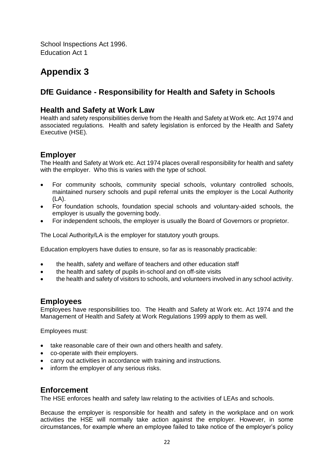School Inspections Act 1996. Education Act 1

## **Appendix 3**

### **DfE Guidance - Responsibility for Health and Safety in Schools**

### **Health and Safety at Work Law**

Health and safety responsibilities derive from the Health and Safety at Work etc. Act 1974 and associated regulations. Health and safety legislation is enforced by the Health and Safety Executive (HSE).

### **Employer**

The Health and Safety at Work etc. Act 1974 places overall responsibility for health and safety with the employer. Who this is varies with the type of school.

- For community schools, community special schools, voluntary controlled schools, maintained nursery schools and pupil referral units the employer is the Local Authority (LA).
- For foundation schools, foundation special schools and voluntary-aided schools, the employer is usually the governing body.
- For independent schools, the employer is usually the Board of Governors or proprietor.

The Local Authority/LA is the employer for statutory youth groups.

Education employers have duties to ensure, so far as is reasonably practicable:

- the health, safety and welfare of teachers and other education staff
- the health and safety of pupils in-school and on off-site visits
- the health and safety of visitors to schools, and volunteers involved in any school activity.

### **Employees**

Employees have responsibilities too. The Health and Safety at Work etc. Act 1974 and the Management of Health and Safety at Work Regulations 1999 apply to them as well.

Employees must:

- take reasonable care of their own and others health and safety.
- co-operate with their employers.
- carry out activities in accordance with training and instructions.
- inform the employer of any serious risks.

#### **Enforcement**

The HSE enforces health and safety law relating to the activities of LEAs and schools.

Because the employer is responsible for health and safety in the workplace and on work activities the HSE will normally take action against the employer. However, in some circumstances, for example where an employee failed to take notice of the employer's policy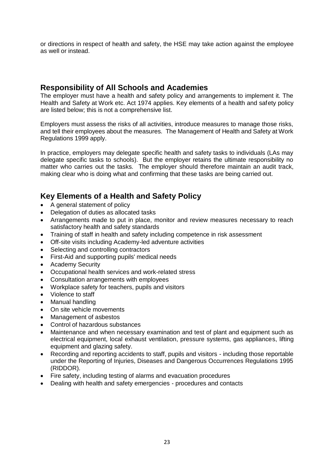or directions in respect of health and safety, the HSE may take action against the employee as well or instead.

#### **Responsibility of All Schools and Academies**

The employer must have a health and safety policy and arrangements to implement it. The Health and Safety at Work etc. Act 1974 applies. Key elements of a health and safety policy are listed below; this is not a comprehensive list.

Employers must assess the risks of all activities, introduce measures to manage those risks, and tell their employees about the measures. The Management of Health and Safety at Work Regulations 1999 apply.

In practice, employers may delegate specific health and safety tasks to individuals (LAs may delegate specific tasks to schools). But the employer retains the ultimate responsibility no matter who carries out the tasks. The employer should therefore maintain an audit track, making clear who is doing what and confirming that these tasks are being carried out.

### **Key Elements of a Health and Safety Policy**

- A general statement of policy
- Delegation of duties as allocated tasks
- Arrangements made to put in place, monitor and review measures necessary to reach satisfactory health and safety standards
- Training of staff in health and safety including competence in risk assessment
- Off-site visits including Academy-led adventure activities
- Selecting and controlling contractors
- First-Aid and supporting pupils' medical needs
- Academy Security
- Occupational health services and work-related stress
- Consultation arrangements with employees
- Workplace safety for teachers, pupils and visitors
- Violence to staff
- Manual handling
- On site vehicle movements
- Management of asbestos
- Control of hazardous substances
- Maintenance and when necessary examination and test of plant and equipment such as electrical equipment, local exhaust ventilation, pressure systems, gas appliances, lifting equipment and glazing safety.
- Recording and reporting accidents to staff, pupils and visitors including those reportable under the Reporting of Injuries, Diseases and Dangerous Occurrences Regulations 1995 (RIDDOR).
- Fire safety, including testing of alarms and evacuation procedures
- Dealing with health and safety emergencies procedures and contacts